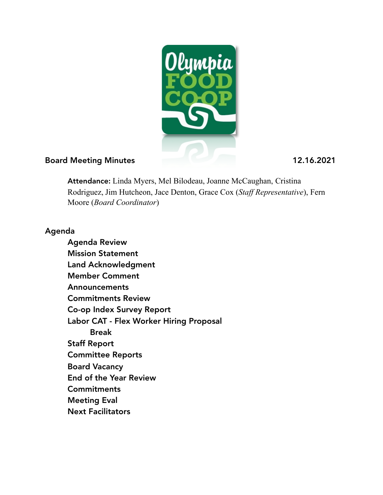

#### Board Meeting Minutes 12.16.2021

Attendance: Linda Myers, Mel Bilodeau, Joanne McCaughan, Cristina Rodriguez, Jim Hutcheon, Jace Denton, Grace Cox (*Staff Representative*), Fern Moore (*Board Coordinator*)

### Agenda

 Agenda Review Mission Statement Land Acknowledgment Member Comment Announcements Commitments Review Co-op Index Survey Report Labor CAT - Flex Worker Hiring Proposal Break Staff Report Committee Reports Board Vacancy End of the Year Review **Commitments**  Meeting Eval Next Facilitators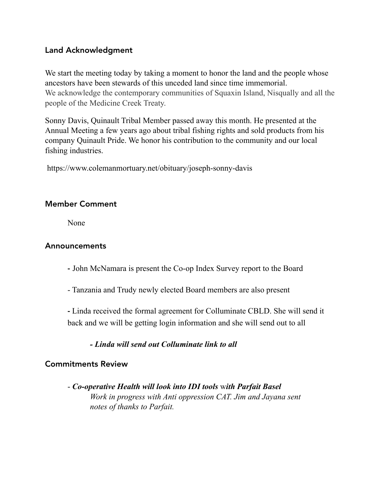### Land Acknowledgment

We start the meeting today by taking a moment to honor the land and the people whose ancestors have been stewards of this unceded land since time immemorial. We acknowledge the contemporary communities of Squaxin Island, Nisqually and all the people of the Medicine Creek Treaty.

Sonny Davis, Quinault Tribal Member passed away this month. He presented at the Annual Meeting a few years ago about tribal fishing rights and sold products from his company Quinault Pride. We honor his contribution to the community and our local fishing industries.

https://www.colemanmortuary.net/obituary/joseph-sonny-davis

### Member Comment

None

### Announcements

- John McNamara is present the Co-op Index Survey report to the Board
- Tanzania and Trudy newly elected Board members are also present

 - Linda received the formal agreement for Colluminate CBLD. She will send it back and we will be getting login information and she will send out to all

*- Linda will send out Colluminate link to all* 

#### Commitments Review

 - *Co-operative Health will look into IDI tools* w*ith Parfait Basel Work in progress with Anti oppression CAT. Jim and Jayana sent notes of thanks to Parfait.*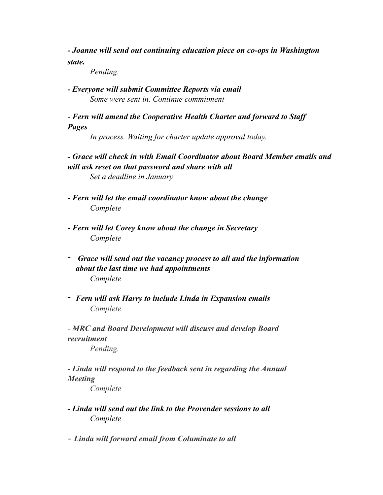*- Joanne will send out continuing education piece on co-ops in Washington state.* 

 *Pending.* 

*- Everyone will submit Committee Reports via email Some were sent in. Continue commitment* 

 *- Fern will amend the Cooperative Health Charter and forward to Staff Pages* 

 *In process. Waiting for charter update approval today.* 

*- Grace will check in with Email Coordinator about Board Member emails and will ask reset on that password and share with all Set a deadline in January*

 *- Fern will let the email coordinator know about the change Complete*

- *Fern will let Corey know about the change in Secretary Complete*
- - *Grace will send out the vacancy process to all and the information about the last time we had appointments Complete*
- *Fern will ask Harry to include Linda in Expansion emails Complete*

 - *MRC and Board Development will discuss and develop Board recruitment Pending.* 

*- Linda will respond to the feedback sent in regarding the Annual Meeting* 

 *Complete*

*- Linda will send out the link to the Provender sessions to all Complete*

**-** *Linda will forward email from Columinate to all*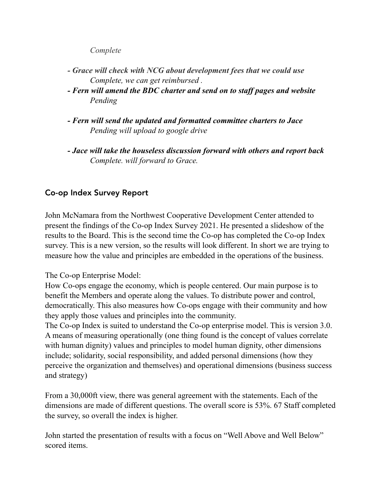*Complete* 

- *Grace will check with NCG about development fees that we could use Complete, we can get reimbursed .*
- *Fern will amend the BDC charter and send on to staff pages and website Pending*
- *Fern will send the updated and formatted committee charters to Jace Pending will upload to google drive*
- *Jace will take the houseless discussion forward with others and report back Complete. will forward to Grace.*

# Co-op Index Survey Report

John McNamara from the Northwest Cooperative Development Center attended to present the findings of the Co-op Index Survey 2021. He presented a slideshow of the results to the Board. This is the second time the Co-op has completed the Co-op Index survey. This is a new version, so the results will look different. In short we are trying to measure how the value and principles are embedded in the operations of the business.

#### The Co-op Enterprise Model:

How Co-ops engage the economy, which is people centered. Our main purpose is to benefit the Members and operate along the values. To distribute power and control, democratically. This also measures how Co-ops engage with their community and how they apply those values and principles into the community.

The Co-op Index is suited to understand the Co-op enterprise model. This is version 3.0. A means of measuring operationally (one thing found is the concept of values correlate with human dignity) values and principles to model human dignity, other dimensions include; solidarity, social responsibility, and added personal dimensions (how they perceive the organization and themselves) and operational dimensions (business success and strategy)

From a 30,000ft view, there was general agreement with the statements. Each of the dimensions are made of different questions. The overall score is 53%. 67 Staff completed the survey, so overall the index is higher.

John started the presentation of results with a focus on "Well Above and Well Below" scored items.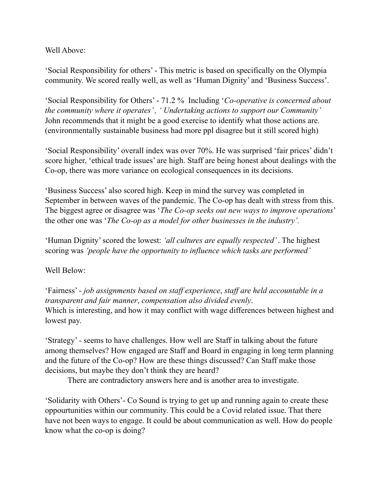Well Above:

'Social Responsibility for others' - This metric is based on specifically on the Olympia community. We scored really well, as well as 'Human Dignity' and 'Business Success'.

'Social Responsibility for Others' - 71.2 % Including '*Co-operative is concerned about the community where it operates' , ' Undertaking actions to support our Community'*  John recommends that it might be a good exercise to identify what those actions are. (environmentally sustainable business had more ppl disagree but it still scored high)

'Social Responsibility' overall index was over 70%. He was surprised 'fair prices' didn't score higher, 'ethical trade issues' are high. Staff are being honest about dealings with the Co-op, there was more variance on ecological consequences in its decisions.

'Business Success' also scored high. Keep in mind the survey was completed in September in between waves of the pandemic. The Co-op has dealt with stress from this. The biggest agree or disagree was '*The Co-op seeks out new ways to improve operations*' the other one was '*The Co-op as a model for other businesses in the industry'.* 

'Human Dignity' scored the lowest: *'all cultures are equally respected'* . The highest scoring was *'people have the opportunity to influence which tasks are performed'* 

Well Below:

'Fairness' - *job assignments based on staff experience*, *staff are held accountable in a transparent and fair manner*, *compensation also divided evenly*. Which is interesting, and how it may conflict with wage differences between highest and lowest pay.

'Strategy' - seems to have challenges. How well are Staff in talking about the future among themselves? How engaged are Staff and Board in engaging in long term planning and the future of the Co-op? How are these things discussed? Can Staff make those decisions, but maybe they don't think they are heard?

There are contradictory answers here and is another area to investigate.

'Solidarity with Others'- Co Sound is trying to get up and running again to create these oppourtunities within our community. This could be a Covid related issue. That there have not been ways to engage. It could be about communication as well. How do people know what the co-op is doing?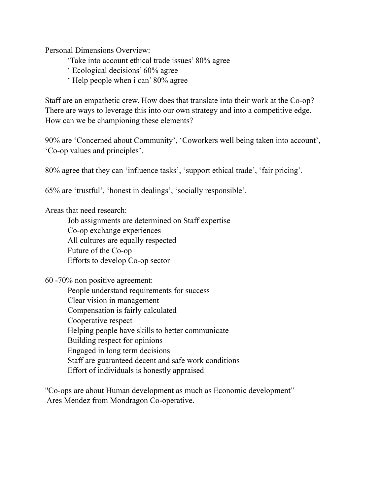Personal Dimensions Overview:

- 'Take into account ethical trade issues' 80% agree
- ' Ecological decisions' 60% agree
- ' Help people when i can' 80% agree

Staff are an empathetic crew. How does that translate into their work at the Co-op? There are ways to leverage this into our own strategy and into a competitive edge. How can we be championing these elements?

90% are 'Concerned about Community', 'Coworkers well being taken into account', 'Co-op values and principles'.

80% agree that they can 'influence tasks', 'support ethical trade', 'fair pricing'.

65% are 'trustful', 'honest in dealings', 'socially responsible'.

Areas that need research:

 Job assignments are determined on Staff expertise Co-op exchange experiences All cultures are equally respected Future of the Co-op Efforts to develop Co-op sector

60 -70% non positive agreement:

 People understand requirements for success Clear vision in management Compensation is fairly calculated Cooperative respect Helping people have skills to better communicate Building respect for opinions Engaged in long term decisions Staff are guaranteed decent and safe work conditions Effort of individuals is honestly appraised

"Co-ops are about Human development as much as Economic development" Ares Mendez from Mondragon Co-operative.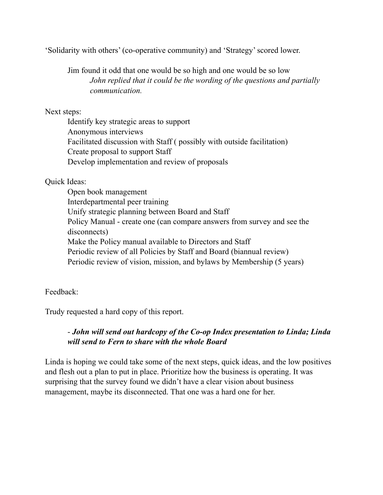'Solidarity with others' (co-operative community) and 'Strategy' scored lower.

 Jim found it odd that one would be so high and one would be so low *John replied that it could be the wording of the questions and partially communication.*

Next steps:

 Identify key strategic areas to support Anonymous interviews Facilitated discussion with Staff ( possibly with outside facilitation) Create proposal to support Staff Develop implementation and review of proposals

### Quick Ideas:

 Open book management Interdepartmental peer training Unify strategic planning between Board and Staff Policy Manual - create one (can compare answers from survey and see the disconnects) Make the Policy manual available to Directors and Staff Periodic review of all Policies by Staff and Board (biannual review) Periodic review of vision, mission, and bylaws by Membership (5 years)

### Feedback:

Trudy requested a hard copy of this report.

## - *John will send out hardcopy of the Co-op Index presentation to Linda; Linda will send to Fern to share with the whole Board*

Linda is hoping we could take some of the next steps, quick ideas, and the low positives and flesh out a plan to put in place. Prioritize how the business is operating. It was surprising that the survey found we didn't have a clear vision about business management, maybe its disconnected. That one was a hard one for her.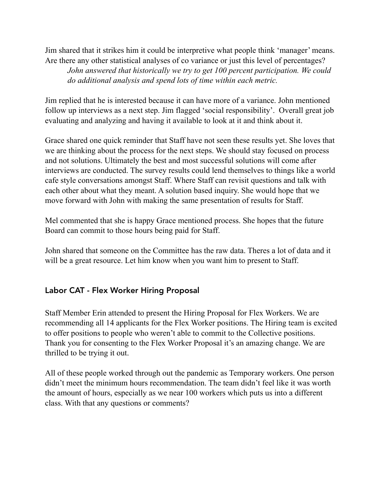Jim shared that it strikes him it could be interpretive what people think 'manager' means. Are there any other statistical analyses of co variance or just this level of percentages? *John answered that historically we try to get 100 percent participation. We could do additional analysis and spend lots of time within each metric.* 

Jim replied that he is interested because it can have more of a variance. John mentioned follow up interviews as a next step. Jim flagged 'social responsibility'. Overall great job evaluating and analyzing and having it available to look at it and think about it.

Grace shared one quick reminder that Staff have not seen these results yet. She loves that we are thinking about the process for the next steps. We should stay focused on process and not solutions. Ultimately the best and most successful solutions will come after interviews are conducted. The survey results could lend themselves to things like a world cafe style conversations amongst Staff. Where Staff can revisit questions and talk with each other about what they meant. A solution based inquiry. She would hope that we move forward with John with making the same presentation of results for Staff.

Mel commented that she is happy Grace mentioned process. She hopes that the future Board can commit to those hours being paid for Staff.

John shared that someone on the Committee has the raw data. Theres a lot of data and it will be a great resource. Let him know when you want him to present to Staff.

# Labor CAT - Flex Worker Hiring Proposal

Staff Member Erin attended to present the Hiring Proposal for Flex Workers. We are recommending all 14 applicants for the Flex Worker positions. The Hiring team is excited to offer positions to people who weren't able to commit to the Collective positions. Thank you for consenting to the Flex Worker Proposal it's an amazing change. We are thrilled to be trying it out.

All of these people worked through out the pandemic as Temporary workers. One person didn't meet the minimum hours recommendation. The team didn't feel like it was worth the amount of hours, especially as we near 100 workers which puts us into a different class. With that any questions or comments?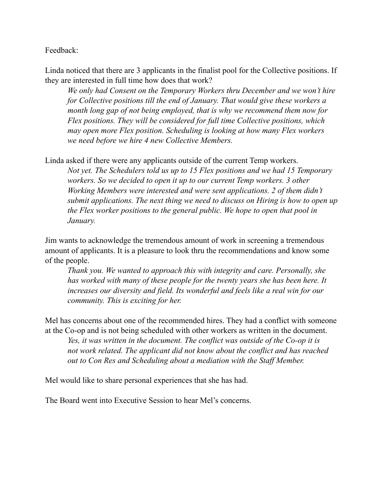Feedback:

Linda noticed that there are 3 applicants in the finalist pool for the Collective positions. If they are interested in full time how does that work?

*We only had Consent on the Temporary Workers thru December and we won't hire for Collective positions till the end of January. That would give these workers a month long gap of not being employed, that is why we recommend them now for Flex positions. They will be considered for full time Collective positions, which may open more Flex position. Scheduling is looking at how many Flex workers we need before we hire 4 new Collective Members.* 

Linda asked if there were any applicants outside of the current Temp workers.

*Not yet. The Schedulers told us up to 15 Flex positions and we had 15 Temporary workers. So we decided to open it up to our current Temp workers. 3 other Working Members were interested and were sent applications. 2 of them didn't submit applications. The next thing we need to discuss on Hiring is how to open up the Flex worker positions to the general public. We hope to open that pool in January.* 

Jim wants to acknowledge the tremendous amount of work in screening a tremendous amount of applicants. It is a pleasure to look thru the recommendations and know some of the people.

*Thank you. We wanted to approach this with integrity and care. Personally, she has worked with many of these people for the twenty years she has been here. It increases our diversity and field. Its wonderful and feels like a real win for our community. This is exciting for her.* 

Mel has concerns about one of the recommended hires. They had a conflict with someone at the Co-op and is not being scheduled with other workers as written in the document.

*Yes, it was written in the document. The conflict was outside of the Co-op it is not work related. The applicant did not know about the conflict and has reached out to Con Res and Scheduling about a mediation with the Staff Member.* 

Mel would like to share personal experiences that she has had.

The Board went into Executive Session to hear Mel's concerns.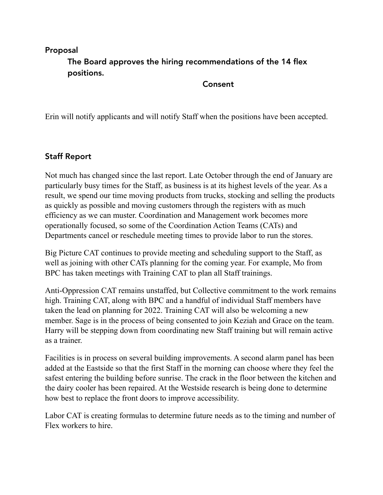# Proposal The Board approves the hiring recommendations of the 14 flex positions.

#### Consent

Erin will notify applicants and will notify Staff when the positions have been accepted.

# Staff Report

Not much has changed since the last report. Late October through the end of January are particularly busy times for the Staff, as business is at its highest levels of the year. As a result, we spend our time moving products from trucks, stocking and selling the products as quickly as possible and moving customers through the registers with as much efficiency as we can muster. Coordination and Management work becomes more operationally focused, so some of the Coordination Action Teams (CATs) and Departments cancel or reschedule meeting times to provide labor to run the stores.

Big Picture CAT continues to provide meeting and scheduling support to the Staff, as well as joining with other CATs planning for the coming year. For example, Mo from BPC has taken meetings with Training CAT to plan all Staff trainings.

Anti-Oppression CAT remains unstaffed, but Collective commitment to the work remains high. Training CAT, along with BPC and a handful of individual Staff members have taken the lead on planning for 2022. Training CAT will also be welcoming a new member. Sage is in the process of being consented to join Keziah and Grace on the team. Harry will be stepping down from coordinating new Staff training but will remain active as a trainer.

Facilities is in process on several building improvements. A second alarm panel has been added at the Eastside so that the first Staff in the morning can choose where they feel the safest entering the building before sunrise. The crack in the floor between the kitchen and the dairy cooler has been repaired. At the Westside research is being done to determine how best to replace the front doors to improve accessibility.

Labor CAT is creating formulas to determine future needs as to the timing and number of Flex workers to hire.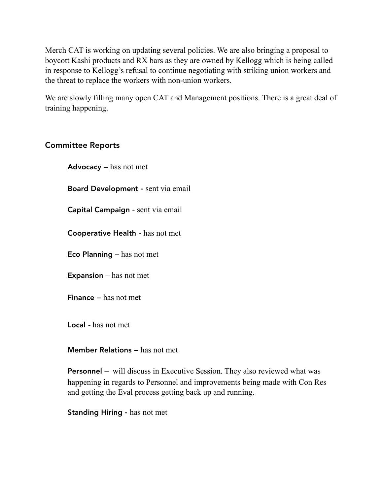Merch CAT is working on updating several policies. We are also bringing a proposal to boycott Kashi products and RX bars as they are owned by Kellogg which is being called in response to Kellogg's refusal to continue negotiating with striking union workers and the threat to replace the workers with non-union workers.

We are slowly filling many open CAT and Management positions. There is a great deal of training happening.

### Committee Reports

Advocacy *–* has not met

Board Development - sent via email

Capital Campaign - sent via email

Cooperative Health *-* has not met

Eco Planning *–* has not met

**Expansion** – has not met

Finance *–* has not met

Local *-* has not met

#### Member Relations *–* has not met

Personnel – will discuss in Executive Session. They also reviewed what was happening in regards to Personnel and improvements being made with Con Res and getting the Eval process getting back up and running.

Standing Hiring - has not met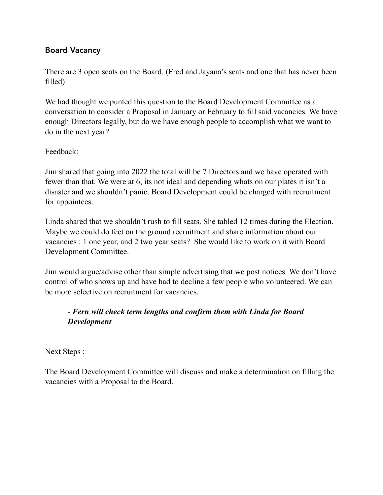### Board Vacancy

There are 3 open seats on the Board. (Fred and Jayana's seats and one that has never been filled)

We had thought we punted this question to the Board Development Committee as a conversation to consider a Proposal in January or February to fill said vacancies. We have enough Directors legally, but do we have enough people to accomplish what we want to do in the next year?

Feedback:

Jim shared that going into 2022 the total will be 7 Directors and we have operated with fewer than that. We were at 6, its not ideal and depending whats on our plates it isn't a disaster and we shouldn't panic. Board Development could be charged with recruitment for appointees.

Linda shared that we shouldn't rush to fill seats. She tabled 12 times during the Election. Maybe we could do feet on the ground recruitment and share information about our vacancies : 1 one year, and 2 two year seats? She would like to work on it with Board Development Committee.

Jim would argue/advise other than simple advertising that we post notices. We don't have control of who shows up and have had to decline a few people who volunteered. We can be more selective on recruitment for vacancies.

# - *Fern will check term lengths and confirm them with Linda for Board Development*

Next Steps :

The Board Development Committee will discuss and make a determination on filling the vacancies with a Proposal to the Board.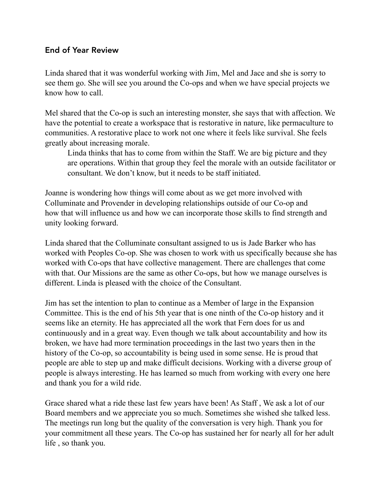### End of Year Review

Linda shared that it was wonderful working with Jim, Mel and Jace and she is sorry to see them go. She will see you around the Co-ops and when we have special projects we know how to call.

Mel shared that the Co-op is such an interesting monster, she says that with affection. We have the potential to create a workspace that is restorative in nature, like permaculture to communities. A restorative place to work not one where it feels like survival. She feels greatly about increasing morale.

 Linda thinks that has to come from within the Staff. We are big picture and they are operations. Within that group they feel the morale with an outside facilitator or consultant. We don't know, but it needs to be staff initiated.

Joanne is wondering how things will come about as we get more involved with Colluminate and Provender in developing relationships outside of our Co-op and how that will influence us and how we can incorporate those skills to find strength and unity looking forward.

Linda shared that the Colluminate consultant assigned to us is Jade Barker who has worked with Peoples Co-op. She was chosen to work with us specifically because she has worked with Co-ops that have collective management. There are challenges that come with that. Our Missions are the same as other Co-ops, but how we manage ourselves is different. Linda is pleased with the choice of the Consultant.

Jim has set the intention to plan to continue as a Member of large in the Expansion Committee. This is the end of his 5th year that is one ninth of the Co-op history and it seems like an eternity. He has appreciated all the work that Fern does for us and continuously and in a great way. Even though we talk about accountability and how its broken, we have had more termination proceedings in the last two years then in the history of the Co-op, so accountability is being used in some sense. He is proud that people are able to step up and make difficult decisions. Working with a diverse group of people is always interesting. He has learned so much from working with every one here and thank you for a wild ride.

Grace shared what a ride these last few years have been! As Staff , We ask a lot of our Board members and we appreciate you so much. Sometimes she wished she talked less. The meetings run long but the quality of the conversation is very high. Thank you for your commitment all these years. The Co-op has sustained her for nearly all for her adult life , so thank you.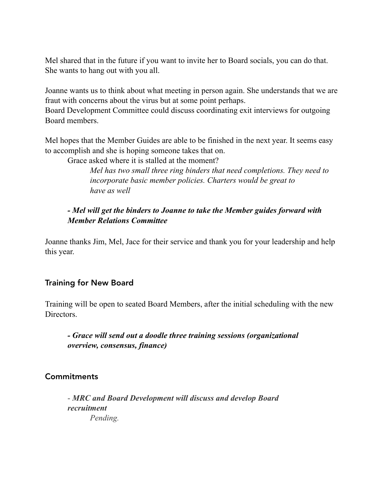Mel shared that in the future if you want to invite her to Board socials, you can do that. She wants to hang out with you all.

Joanne wants us to think about what meeting in person again. She understands that we are fraut with concerns about the virus but at some point perhaps.

Board Development Committee could discuss coordinating exit interviews for outgoing Board members.

Mel hopes that the Member Guides are able to be finished in the next year. It seems easy to accomplish and she is hoping someone takes that on.

Grace asked where it is stalled at the moment?

 *Mel has two small three ring binders that need completions. They need to incorporate basic member policies. Charters would be great to have as well* 

### *- Mel will get the binders to Joanne to take the Member guides forward with Member Relations Committee*

Joanne thanks Jim, Mel, Jace for their service and thank you for your leadership and help this year.

### Training for New Board

Training will be open to seated Board Members, after the initial scheduling with the new Directors.

 *- Grace will send out a doodle three training sessions (organizational overview, consensus, finance)* 

#### Commitments

 - *MRC and Board Development will discuss and develop Board recruitment Pending.*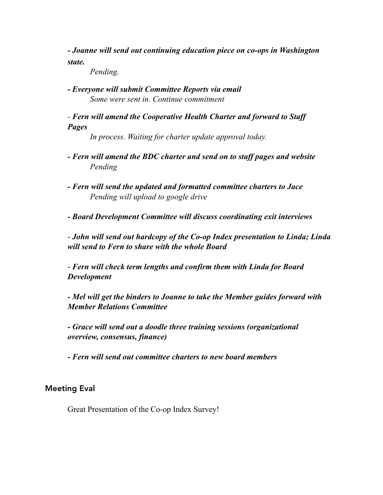*- Joanne will send out continuing education piece on co-ops in Washington state.* 

 *Pending.* 

*- Everyone will submit Committee Reports via email Some were sent in. Continue commitment* 

 *- Fern will amend the Cooperative Health Charter and forward to Staff Pages* 

 *In process. Waiting for charter update approval today.* 

- *Fern will amend the BDC charter and send on to staff pages and website Pending*
- *Fern will send the updated and formatted committee charters to Jace Pending will upload to google drive*

 *- Board Development Committee will discuss coordinating exit interviews* 

 - *John will send out hardcopy of the Co-op Index presentation to Linda; Linda will send to Fern to share with the whole Board* 

 - *Fern will check term lengths and confirm them with Linda for Board Development* 

*- Mel will get the binders to Joanne to take the Member guides forward with Member Relations Committee* 

 *- Grace will send out a doodle three training sessions (organizational overview, consensus, finance)* 

 *- Fern will send out committee charters to new board members* 

#### Meeting Eval

Great Presentation of the Co-op Index Survey!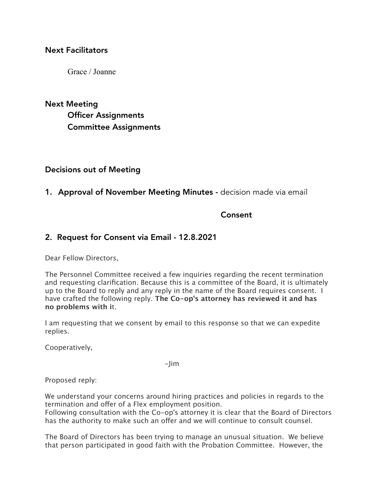#### Next Facilitators

Grace / Joanne

Next Meeting Officer Assignments Committee Assignments

#### Decisions out of Meeting

#### 1. Approval of November Meeting Minutes - decision made via email

### **Consent** Consent

#### 2. Request for Consent via Email - 12.8.2021

Dear Fellow Directors,

The Personnel Committee received a few inquiries regarding the recent termination and requesting clarification. Because this is a committee of the Board, it is ultimately up to the Board to reply and any reply in the name of the Board requires consent. I have crafted the following reply. **The Co-op's attorney has reviewed it and has no problems with i**t.

I am requesting that we consent by email to this response so that we can expedite replies.

Cooperatively,

-Jim

Proposed reply:

We understand your concerns around hiring practices and policies in regards to the termination and offer of a Flex employment position.

Following consultation with the Co-op's attorney it is clear that the Board of Directors has the authority to make such an offer and we will continue to consult counsel.

The Board of Directors has been trying to manage an unusual situation. We believe that person participated in good faith with the Probation Committee. However, the